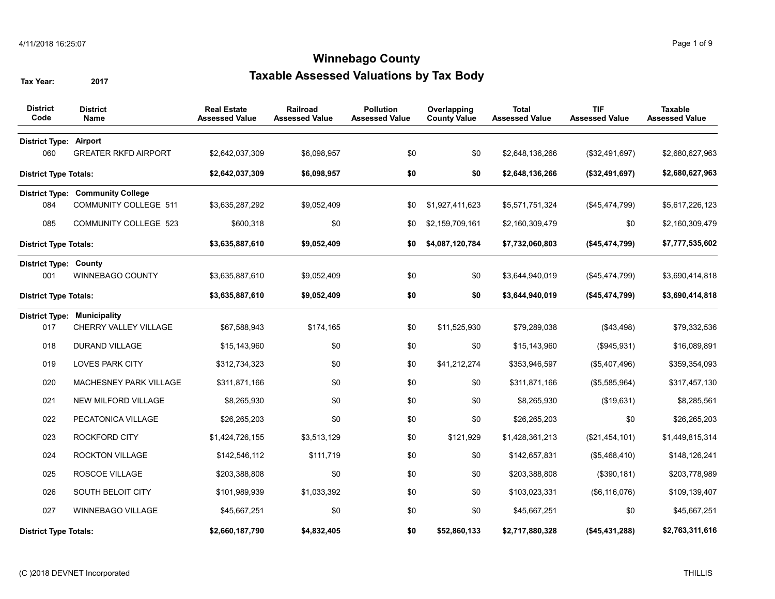| <b>District</b><br>Code       | <b>District</b><br>Name                 | <b>Real Estate</b><br><b>Assessed Value</b> | Railroad<br><b>Assessed Value</b> | <b>Pollution</b><br><b>Assessed Value</b> | Overlapping<br><b>County Value</b> | <b>Total</b><br><b>Assessed Value</b> | <b>TIF</b><br><b>Assessed Value</b> | <b>Taxable</b><br><b>Assessed Value</b> |
|-------------------------------|-----------------------------------------|---------------------------------------------|-----------------------------------|-------------------------------------------|------------------------------------|---------------------------------------|-------------------------------------|-----------------------------------------|
| <b>District Type: Airport</b> |                                         |                                             |                                   |                                           |                                    |                                       |                                     |                                         |
| 060                           | <b>GREATER RKFD AIRPORT</b>             | \$2,642,037,309                             | \$6,098,957                       | \$0                                       | \$0                                | \$2,648,136,266                       | (\$32,491,697)                      | \$2,680,627,963                         |
| <b>District Type Totals:</b>  |                                         | \$2,642,037,309                             | \$6,098,957                       | \$0                                       | \$0                                | \$2,648,136,266                       | (\$32,491,697)                      | \$2,680,627,963                         |
|                               | <b>District Type: Community College</b> |                                             |                                   |                                           |                                    |                                       |                                     |                                         |
| 084                           | <b>COMMUNITY COLLEGE 511</b>            | \$3,635,287,292                             | \$9,052,409                       | \$0                                       | \$1,927,411,623                    | \$5,571,751,324                       | (\$45,474,799)                      | \$5,617,226,123                         |
| 085                           | <b>COMMUNITY COLLEGE 523</b>            | \$600,318                                   | \$0                               | \$0                                       | \$2,159,709,161                    | \$2,160,309,479                       | \$0                                 | \$2,160,309,479                         |
| <b>District Type Totals:</b>  |                                         | \$3,635,887,610                             | \$9,052,409                       | \$0                                       | \$4,087,120,784                    | \$7,732,060,803                       | (\$45,474,799)                      | \$7,777,535,602                         |
| <b>District Type: County</b>  |                                         |                                             |                                   |                                           |                                    |                                       |                                     |                                         |
| 001                           | <b>WINNEBAGO COUNTY</b>                 | \$3,635,887,610                             | \$9,052,409                       | \$0                                       | \$0                                | \$3,644,940,019                       | (\$45,474,799)                      | \$3,690,414,818                         |
| <b>District Type Totals:</b>  |                                         | \$3,635,887,610                             | \$9,052,409                       | \$0                                       | \$0                                | \$3,644,940,019                       | (\$45,474,799)                      | \$3,690,414,818                         |
|                               | <b>District Type: Municipality</b>      |                                             |                                   |                                           |                                    |                                       |                                     |                                         |
| 017                           | CHERRY VALLEY VILLAGE                   | \$67,588,943                                | \$174,165                         | \$0                                       | \$11,525,930                       | \$79,289,038                          | (\$43,498)                          | \$79,332,536                            |
| 018                           | <b>DURAND VILLAGE</b>                   | \$15,143,960                                | \$0                               | \$0                                       | \$0                                | \$15,143,960                          | (\$945,931)                         | \$16,089,891                            |
| 019                           | <b>LOVES PARK CITY</b>                  | \$312,734,323                               | \$0                               | \$0                                       | \$41,212,274                       | \$353,946,597                         | (\$5,407,496)                       | \$359,354,093                           |
| 020                           | MACHESNEY PARK VILLAGE                  | \$311,871,166                               | \$0                               | \$0                                       | \$0                                | \$311,871,166                         | (\$5,585,964)                       | \$317,457,130                           |
| 021                           | NEW MILFORD VILLAGE                     | \$8,265,930                                 | \$0                               | \$0                                       | \$0                                | \$8,265,930                           | (\$19,631)                          | \$8,285,561                             |
| 022                           | PECATONICA VILLAGE                      | \$26,265,203                                | \$0                               | \$0                                       | \$0                                | \$26,265,203                          | \$0                                 | \$26,265,203                            |
| 023                           | <b>ROCKFORD CITY</b>                    | \$1,424,726,155                             | \$3,513,129                       | \$0                                       | \$121,929                          | \$1,428,361,213                       | (\$21,454,101)                      | \$1,449,815,314                         |
| 024                           | <b>ROCKTON VILLAGE</b>                  | \$142,546,112                               | \$111.719                         | \$0                                       | \$0                                | \$142,657,831                         | (\$5,468,410)                       | \$148,126,241                           |
| 025                           | ROSCOE VILLAGE                          | \$203,388,808                               | \$0                               | \$0                                       | \$0                                | \$203,388,808                         | (\$390, 181)                        | \$203,778,989                           |
| 026                           | SOUTH BELOIT CITY                       | \$101,989,939                               | \$1,033,392                       | \$0                                       | \$0                                | \$103,023,331                         | (\$6, 116, 076)                     | \$109,139,407                           |
| 027                           | WINNEBAGO VILLAGE                       | \$45,667,251                                | \$0                               | \$0                                       | \$0                                | \$45,667,251                          | \$0                                 | \$45,667,251                            |
| <b>District Type Totals:</b>  |                                         | \$2,660,187,790                             | \$4,832,405                       | \$0                                       | \$52,860,133                       | \$2,717,880,328                       | ( \$45,431,288)                     | \$2,763,311,616                         |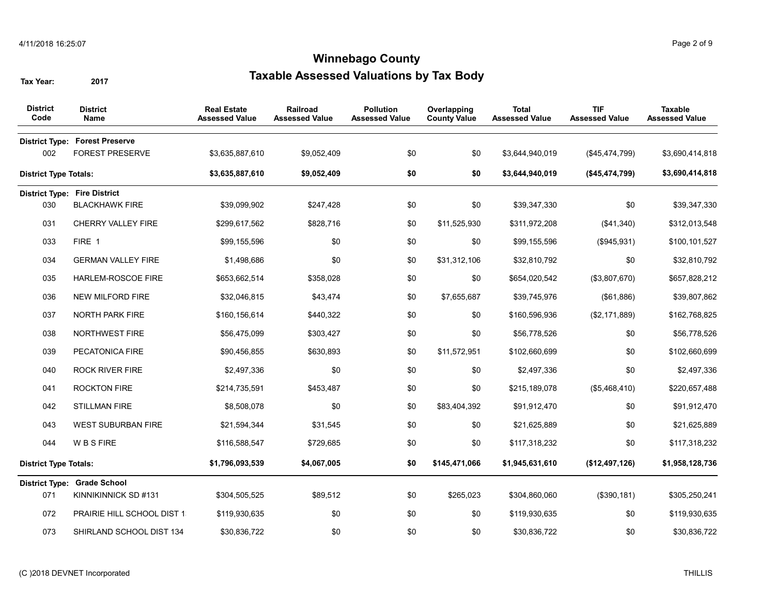| <b>District</b><br>Code      | <b>District</b><br>Name                                         | <b>Real Estate</b><br><b>Assessed Value</b> | <b>Railroad</b><br><b>Assessed Value</b> | <b>Pollution</b><br><b>Assessed Value</b> | Overlapping<br><b>County Value</b> | <b>Total</b><br><b>Assessed Value</b> | <b>TIF</b><br><b>Assessed Value</b> | <b>Taxable</b><br><b>Assessed Value</b> |
|------------------------------|-----------------------------------------------------------------|---------------------------------------------|------------------------------------------|-------------------------------------------|------------------------------------|---------------------------------------|-------------------------------------|-----------------------------------------|
| 002                          | <b>District Type: Forest Preserve</b><br><b>FOREST PRESERVE</b> |                                             |                                          | \$0                                       | \$0                                |                                       |                                     |                                         |
|                              |                                                                 | \$3,635,887,610                             | \$9,052,409                              |                                           |                                    | \$3,644,940,019                       | (\$45,474,799)                      | \$3,690,414,818                         |
| <b>District Type Totals:</b> |                                                                 | \$3,635,887,610                             | \$9,052,409                              | \$0                                       | \$0                                | \$3,644,940,019                       | (\$45,474,799)                      | \$3,690,414,818                         |
|                              | <b>District Type: Fire District</b>                             |                                             |                                          |                                           |                                    |                                       |                                     |                                         |
| 030                          | <b>BLACKHAWK FIRE</b>                                           | \$39,099,902                                | \$247,428                                | \$0                                       | \$0                                | \$39,347,330                          | \$0                                 | \$39,347,330                            |
| 031                          | CHERRY VALLEY FIRE                                              | \$299,617,562                               | \$828,716                                | \$0                                       | \$11,525,930                       | \$311,972,208                         | (\$41,340)                          | \$312,013,548                           |
| 033                          | FIRE 1                                                          | \$99,155,596                                | \$0                                      | \$0                                       | \$0                                | \$99,155,596                          | (\$945,931)                         | \$100,101,527                           |
| 034                          | <b>GERMAN VALLEY FIRE</b>                                       | \$1,498,686                                 | \$0                                      | \$0                                       | \$31,312,106                       | \$32,810,792                          | \$0                                 | \$32,810,792                            |
| 035                          | HARLEM-ROSCOE FIRE                                              | \$653,662,514                               | \$358,028                                | \$0                                       | \$0                                | \$654,020,542                         | (\$3,807,670)                       | \$657,828,212                           |
| 036                          | <b>NEW MILFORD FIRE</b>                                         | \$32,046,815                                | \$43,474                                 | \$0                                       | \$7,655,687                        | \$39,745,976                          | (\$61,886)                          | \$39,807,862                            |
| 037                          | NORTH PARK FIRE                                                 | \$160,156,614                               | \$440,322                                | \$0                                       | \$0                                | \$160,596,936                         | (\$2,171,889)                       | \$162,768,825                           |
| 038                          | NORTHWEST FIRE                                                  | \$56,475,099                                | \$303,427                                | \$0                                       | \$0                                | \$56,778,526                          | \$0                                 | \$56,778,526                            |
| 039                          | PECATONICA FIRE                                                 | \$90,456,855                                | \$630,893                                | \$0                                       | \$11,572,951                       | \$102,660,699                         | \$0                                 | \$102,660,699                           |
| 040                          | ROCK RIVER FIRE                                                 | \$2,497,336                                 | \$0                                      | \$0                                       | \$0                                | \$2,497,336                           | \$0                                 | \$2,497,336                             |
| 041                          | <b>ROCKTON FIRE</b>                                             | \$214,735,591                               | \$453,487                                | \$0                                       | \$0                                | \$215,189,078                         | (\$5,468,410)                       | \$220,657,488                           |
| 042                          | <b>STILLMAN FIRE</b>                                            | \$8,508,078                                 | \$0                                      | \$0                                       | \$83,404,392                       | \$91,912,470                          | \$0                                 | \$91,912,470                            |
| 043                          | <b>WEST SUBURBAN FIRE</b>                                       | \$21,594,344                                | \$31,545                                 | \$0                                       | \$0                                | \$21,625,889                          | \$0                                 | \$21,625,889                            |
| 044                          | <b>WBSFIRE</b>                                                  | \$116,588,547                               | \$729,685                                | \$0                                       | \$0                                | \$117,318,232                         | \$0                                 | \$117,318,232                           |
| <b>District Type Totals:</b> |                                                                 | \$1,796,093,539                             | \$4,067,005                              | \$0                                       | \$145,471,066                      | \$1,945,631,610                       | (\$12,497,126)                      | \$1,958,128,736                         |
|                              | <b>District Type: Grade School</b>                              |                                             |                                          |                                           |                                    |                                       |                                     |                                         |
| 071                          | KINNIKINNICK SD #131                                            | \$304,505,525                               | \$89,512                                 | \$0                                       | \$265,023                          | \$304,860,060                         | (\$390, 181)                        | \$305,250,241                           |
| 072                          | PRAIRIE HILL SCHOOL DIST 1                                      | \$119,930,635                               | \$0                                      | \$0                                       | \$0                                | \$119,930,635                         | \$0                                 | \$119,930,635                           |
| 073                          | SHIRLAND SCHOOL DIST 134                                        | \$30,836,722                                | \$0                                      | \$0                                       | \$0                                | \$30,836,722                          | \$0                                 | \$30,836,722                            |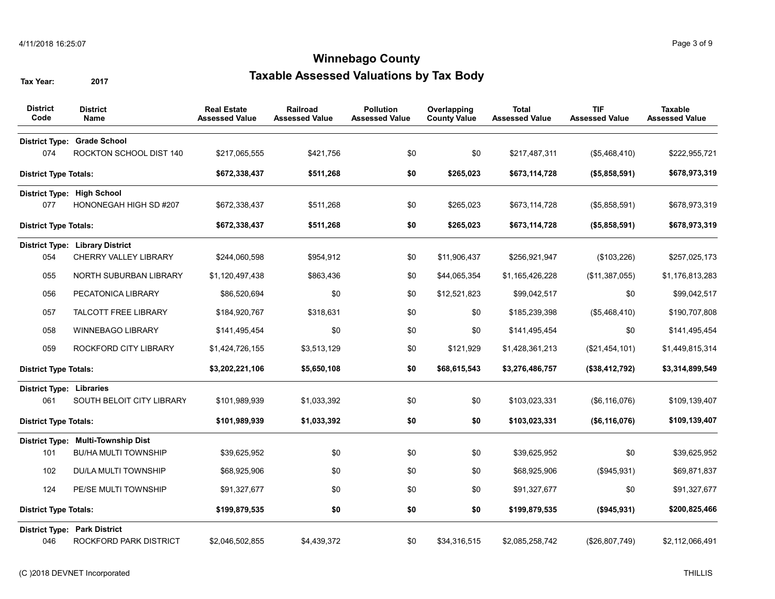| <b>District</b><br>Code         | <b>District</b><br>Name                | <b>Real Estate</b><br><b>Assessed Value</b> | <b>Railroad</b><br><b>Assessed Value</b> | <b>Pollution</b><br><b>Assessed Value</b> | Overlapping<br><b>County Value</b> | <b>Total</b><br><b>Assessed Value</b> | <b>TIF</b><br><b>Assessed Value</b> | <b>Taxable</b><br><b>Assessed Value</b> |
|---------------------------------|----------------------------------------|---------------------------------------------|------------------------------------------|-------------------------------------------|------------------------------------|---------------------------------------|-------------------------------------|-----------------------------------------|
| <b>District Type:</b>           | <b>Grade School</b>                    |                                             |                                          |                                           |                                    |                                       |                                     |                                         |
| 074                             | ROCKTON SCHOOL DIST 140                | \$217,065,555                               | \$421,756                                | \$0                                       | \$0                                | \$217,487,311                         | (\$5,468,410)                       | \$222,955,721                           |
| <b>District Type Totals:</b>    |                                        | \$672,338,437                               | \$511,268                                | \$0                                       | \$265,023                          | \$673,114,728                         | (\$5,858,591)                       | \$678,973,319                           |
|                                 | District Type: High School             |                                             |                                          |                                           |                                    |                                       |                                     |                                         |
| 077                             | HONONEGAH HIGH SD #207                 | \$672,338,437                               | \$511,268                                | \$0                                       | \$265,023                          | \$673,114,728                         | (\$5,858,591)                       | \$678,973,319                           |
| <b>District Type Totals:</b>    |                                        | \$672,338,437                               | \$511,268                                | \$0                                       | \$265,023                          | \$673,114,728                         | (\$5,858,591)                       | \$678,973,319                           |
|                                 | <b>District Type: Library District</b> |                                             |                                          |                                           |                                    |                                       |                                     |                                         |
| 054                             | CHERRY VALLEY LIBRARY                  | \$244,060,598                               | \$954,912                                | \$0                                       | \$11,906,437                       | \$256,921,947                         | (\$103,226)                         | \$257,025,173                           |
| 055                             | NORTH SUBURBAN LIBRARY                 | \$1,120,497,438                             | \$863,436                                | \$0                                       | \$44,065,354                       | \$1,165,426,228                       | (\$11,387,055)                      | \$1,176,813,283                         |
| 056                             | PECATONICA LIBRARY                     | \$86,520,694                                | \$0                                      | \$0                                       | \$12,521,823                       | \$99,042,517                          | \$0                                 | \$99,042,517                            |
| 057                             | <b>TALCOTT FREE LIBRARY</b>            | \$184,920,767                               | \$318,631                                | \$0                                       | \$0                                | \$185,239,398                         | (\$5,468,410)                       | \$190,707,808                           |
| 058                             | <b>WINNEBAGO LIBRARY</b>               | \$141,495,454                               | \$0                                      | \$0                                       | \$0                                | \$141,495,454                         | \$0                                 | \$141,495,454                           |
| 059                             | ROCKFORD CITY LIBRARY                  | \$1,424,726,155                             | \$3,513,129                              | \$0                                       | \$121,929                          | \$1,428,361,213                       | (\$21,454,101)                      | \$1,449,815,314                         |
| <b>District Type Totals:</b>    |                                        | \$3,202,221,106                             | \$5,650,108                              | \$0                                       | \$68,615,543                       | \$3,276,486,757                       | (\$38,412,792)                      | \$3,314,899,549                         |
| <b>District Type: Libraries</b> |                                        |                                             |                                          |                                           |                                    |                                       |                                     |                                         |
| 061                             | SOUTH BELOIT CITY LIBRARY              | \$101,989,939                               | \$1,033,392                              | \$0                                       | \$0                                | \$103,023,331                         | (\$6, 116, 076)                     | \$109,139,407                           |
| <b>District Type Totals:</b>    |                                        | \$101,989,939                               | \$1,033,392                              | \$0                                       | \$0                                | \$103,023,331                         | (\$6, 116, 076)                     | \$109,139,407                           |
|                                 | District Type: Multi-Township Dist     |                                             |                                          |                                           |                                    |                                       |                                     |                                         |
| 101                             | <b>BU/HA MULTI TOWNSHIP</b>            | \$39,625,952                                | \$0                                      | \$0                                       | \$0                                | \$39,625,952                          | \$0                                 | \$39,625,952                            |
| 102                             | <b>DU/LA MULTI TOWNSHIP</b>            | \$68,925,906                                | \$0                                      | \$0                                       | \$0                                | \$68,925,906                          | (\$945,931)                         | \$69,871,837                            |
| 124                             | PE/SE MULTI TOWNSHIP                   | \$91,327,677                                | \$0                                      | \$0                                       | \$0                                | \$91,327,677                          | \$0                                 | \$91,327,677                            |
| <b>District Type Totals:</b>    |                                        | \$199,879,535                               | \$0                                      | \$0                                       | \$0                                | \$199,879,535                         | (\$945,931)                         | \$200,825,466                           |
|                                 | <b>District Type: Park District</b>    |                                             |                                          |                                           |                                    |                                       |                                     |                                         |
| 046                             | ROCKFORD PARK DISTRICT                 | \$2,046,502,855                             | \$4,439,372                              | \$0                                       | \$34,316,515                       | \$2,085,258,742                       | (\$26,807,749)                      | \$2,112,066,491                         |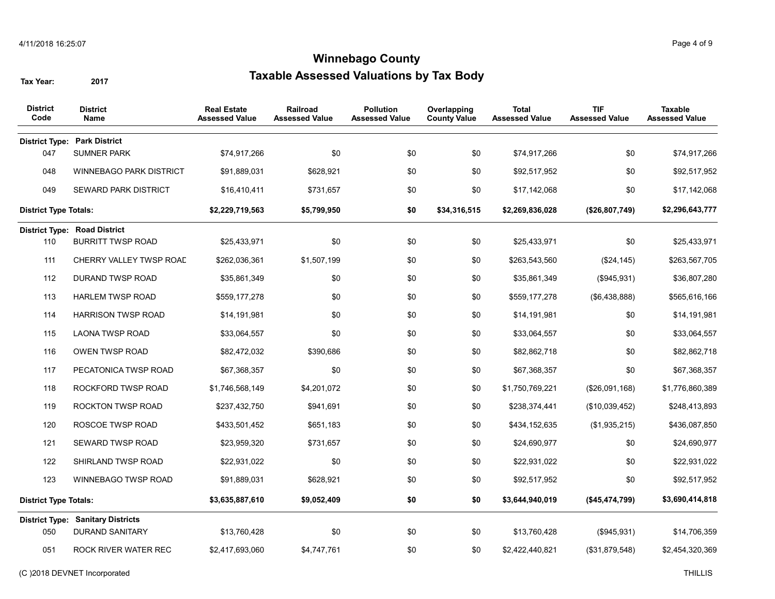| <b>District</b><br>Code      | <b>District</b><br>Name                  | <b>Real Estate</b><br><b>Assessed Value</b> | Railroad<br><b>Assessed Value</b> | <b>Pollution</b><br><b>Assessed Value</b> | Overlapping<br><b>County Value</b> | <b>Total</b><br><b>Assessed Value</b> | <b>TIF</b><br><b>Assessed Value</b> | <b>Taxable</b><br><b>Assessed Value</b> |
|------------------------------|------------------------------------------|---------------------------------------------|-----------------------------------|-------------------------------------------|------------------------------------|---------------------------------------|-------------------------------------|-----------------------------------------|
| <b>District Type:</b>        | <b>Park District</b>                     |                                             |                                   |                                           |                                    |                                       |                                     |                                         |
| 047                          | <b>SUMNER PARK</b>                       | \$74,917,266                                | \$0                               | \$0                                       | \$0                                | \$74,917,266                          | \$0                                 | \$74,917,266                            |
| 048                          | <b>WINNEBAGO PARK DISTRICT</b>           | \$91,889,031                                | \$628,921                         | \$0                                       | \$0                                | \$92,517,952                          | \$0                                 | \$92,517,952                            |
| 049                          | <b>SEWARD PARK DISTRICT</b>              | \$16,410,411                                | \$731,657                         | \$0                                       | \$0                                | \$17,142,068                          | \$0                                 | \$17,142,068                            |
| <b>District Type Totals:</b> |                                          | \$2,229,719,563                             | \$5,799,950                       | \$0                                       | \$34,316,515                       | \$2,269,836,028                       | (\$26,807,749)                      | \$2,296,643,777                         |
|                              | <b>District Type: Road District</b>      |                                             |                                   |                                           |                                    |                                       |                                     |                                         |
| 110                          | <b>BURRITT TWSP ROAD</b>                 | \$25,433,971                                | \$0                               | \$0                                       | \$0                                | \$25,433,971                          | \$0                                 | \$25,433,971                            |
| 111                          | CHERRY VALLEY TWSP ROAD                  | \$262,036,361                               | \$1,507,199                       | \$0                                       | \$0                                | \$263,543,560                         | (\$24, 145)                         | \$263,567,705                           |
| 112                          | DURAND TWSP ROAD                         | \$35,861,349                                | \$0                               | \$0                                       | \$0                                | \$35,861,349                          | (\$945,931)                         | \$36,807,280                            |
| 113                          | <b>HARLEM TWSP ROAD</b>                  | \$559,177,278                               | \$0                               | \$0                                       | \$0                                | \$559,177,278                         | (\$6,438,888)                       | \$565,616,166                           |
| 114                          | <b>HARRISON TWSP ROAD</b>                | \$14,191,981                                | \$0                               | \$0                                       | \$0                                | \$14,191,981                          | \$0                                 | \$14,191,981                            |
| 115                          | <b>LAONA TWSP ROAD</b>                   | \$33,064,557                                | \$0                               | \$0                                       | \$0                                | \$33,064,557                          | \$0                                 | \$33,064,557                            |
| 116                          | OWEN TWSP ROAD                           | \$82,472,032                                | \$390,686                         | \$0                                       | \$0                                | \$82,862,718                          | \$0                                 | \$82,862,718                            |
| 117                          | PECATONICA TWSP ROAD                     | \$67,368,357                                | \$0                               | \$0                                       | \$0                                | \$67,368,357                          | \$0                                 | \$67,368,357                            |
| 118                          | ROCKFORD TWSP ROAD                       | \$1,746,568,149                             | \$4,201,072                       | \$0                                       | \$0                                | \$1,750,769,221                       | (\$26,091,168)                      | \$1,776,860,389                         |
| 119                          | ROCKTON TWSP ROAD                        | \$237,432,750                               | \$941,691                         | \$0                                       | \$0                                | \$238,374,441                         | (\$10,039,452)                      | \$248,413,893                           |
| 120                          | ROSCOE TWSP ROAD                         | \$433,501,452                               | \$651,183                         | \$0                                       | \$0                                | \$434,152,635                         | (\$1,935,215)                       | \$436,087,850                           |
| 121                          | SEWARD TWSP ROAD                         | \$23,959,320                                | \$731,657                         | \$0                                       | \$0                                | \$24,690,977                          | \$0                                 | \$24,690,977                            |
| 122                          | SHIRLAND TWSP ROAD                       | \$22,931,022                                | \$0                               | \$0                                       | \$0                                | \$22,931,022                          | \$0                                 | \$22,931,022                            |
| 123                          | WINNEBAGO TWSP ROAD                      | \$91,889,031                                | \$628,921                         | \$0                                       | \$0                                | \$92,517,952                          | \$0                                 | \$92,517,952                            |
| <b>District Type Totals:</b> |                                          | \$3,635,887,610                             | \$9,052,409                       | \$0                                       | \$0                                | \$3,644,940,019                       | (\$45,474,799)                      | \$3,690,414,818                         |
|                              | <b>District Type: Sanitary Districts</b> |                                             |                                   |                                           |                                    |                                       |                                     |                                         |
| 050                          | <b>DURAND SANITARY</b>                   | \$13,760,428                                | \$0                               | \$0                                       | \$0                                | \$13,760,428                          | (\$945,931)                         | \$14,706,359                            |
| 051                          | ROCK RIVER WATER REC                     | \$2,417,693,060                             | \$4,747,761                       | \$0                                       | \$0                                | \$2,422,440,821                       | (\$31,879,548)                      | \$2,454,320,369                         |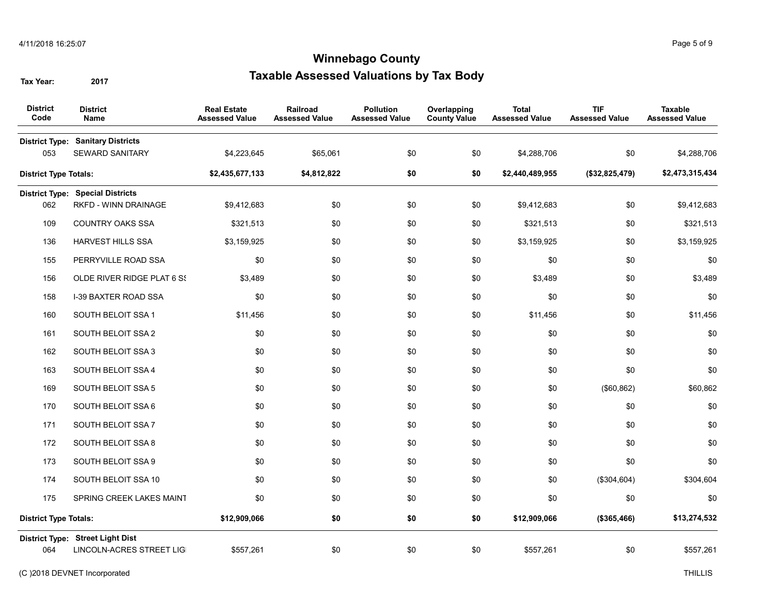| <b>District</b><br>Code      | <b>District</b><br>Name                                            | <b>Real Estate</b><br><b>Assessed Value</b> | Railroad<br><b>Assessed Value</b> | <b>Pollution</b><br><b>Assessed Value</b> | Overlapping<br><b>County Value</b> | <b>Total</b><br><b>Assessed Value</b> | <b>TIF</b><br><b>Assessed Value</b> | <b>Taxable</b><br><b>Assessed Value</b> |
|------------------------------|--------------------------------------------------------------------|---------------------------------------------|-----------------------------------|-------------------------------------------|------------------------------------|---------------------------------------|-------------------------------------|-----------------------------------------|
| 053                          | <b>District Type: Sanitary Districts</b><br><b>SEWARD SANITARY</b> | \$4,223,645                                 | \$65,061                          | \$0                                       | \$0                                | \$4,288,706                           | \$0                                 | \$4,288,706                             |
| <b>District Type Totals:</b> |                                                                    | \$2,435,677,133                             | \$4,812,822                       | \$0                                       | \$0                                | \$2,440,489,955                       | (\$32,825,479)                      | \$2,473,315,434                         |
|                              | <b>District Type: Special Districts</b>                            |                                             |                                   |                                           |                                    |                                       |                                     |                                         |
| 062                          | RKFD - WINN DRAINAGE                                               | \$9,412,683                                 | \$0                               | \$0                                       | \$0                                | \$9,412,683                           | \$0                                 | \$9,412,683                             |
| 109                          | COUNTRY OAKS SSA                                                   | \$321,513                                   | \$0                               | \$0                                       | \$0                                | \$321,513                             | \$0                                 | \$321,513                               |
| 136                          | <b>HARVEST HILLS SSA</b>                                           | \$3,159,925                                 | \$0                               | \$0                                       | \$0                                | \$3,159,925                           | \$0                                 | \$3,159,925                             |
| 155                          | PERRYVILLE ROAD SSA                                                | \$0                                         | \$0                               | \$0                                       | \$0                                | \$0                                   | \$0                                 | \$0                                     |
| 156                          | OLDE RIVER RIDGE PLAT 6 S!                                         | \$3,489                                     | \$0                               | \$0                                       | \$0                                | \$3,489                               | \$0                                 | \$3,489                                 |
| 158                          | I-39 BAXTER ROAD SSA                                               | \$0                                         | \$0                               | \$0                                       | \$0                                | \$0                                   | \$0                                 | \$0                                     |
| 160                          | SOUTH BELOIT SSA 1                                                 | \$11,456                                    | \$0                               | \$0                                       | \$0                                | \$11,456                              | \$0                                 | \$11,456                                |
| 161                          | SOUTH BELOIT SSA 2                                                 | \$0                                         | \$0                               | \$0                                       | \$0                                | \$0                                   | \$0                                 | \$0                                     |
| 162                          | SOUTH BELOIT SSA 3                                                 | \$0                                         | \$0                               | \$0                                       | \$0                                | \$0                                   | \$0                                 | \$0                                     |
| 163                          | SOUTH BELOIT SSA 4                                                 | \$0                                         | \$0                               | \$0                                       | \$0                                | \$0                                   | \$0                                 | \$0                                     |
| 169                          | SOUTH BELOIT SSA 5                                                 | \$0                                         | \$0                               | \$0                                       | \$0                                | \$0                                   | (\$60, 862)                         | \$60,862                                |
| 170                          | SOUTH BELOIT SSA 6                                                 | \$0                                         | \$0                               | \$0                                       | \$0                                | \$0                                   | \$0                                 | \$0                                     |
| 171                          | SOUTH BELOIT SSA 7                                                 | \$0                                         | \$0                               | \$0                                       | \$0                                | \$0                                   | \$0                                 | \$0                                     |
| 172                          | SOUTH BELOIT SSA 8                                                 | \$0                                         | \$0                               | \$0                                       | \$0                                | \$0                                   | \$0                                 | \$0                                     |
| 173                          | SOUTH BELOIT SSA 9                                                 | \$0                                         | \$0                               | \$0                                       | \$0                                | \$0                                   | \$0                                 | \$0                                     |
| 174                          | SOUTH BELOIT SSA 10                                                | \$0                                         | \$0                               | \$0                                       | \$0                                | \$0                                   | (\$304,604)                         | \$304,604                               |
| 175                          | SPRING CREEK LAKES MAINT                                           | \$0                                         | \$0                               | \$0                                       | \$0                                | \$0                                   | \$0                                 | \$0                                     |
| <b>District Type Totals:</b> |                                                                    | \$12,909,066                                | \$0                               | \$0                                       | \$0                                | \$12,909,066                          | (\$365,466)                         | \$13,274,532                            |
|                              | <b>District Type: Street Light Dist</b>                            |                                             |                                   |                                           |                                    |                                       |                                     |                                         |
| 064                          | LINCOLN-ACRES STREET LIG                                           | \$557,261                                   | \$0                               | \$0                                       | \$0                                | \$557,261                             | \$0                                 | \$557,261                               |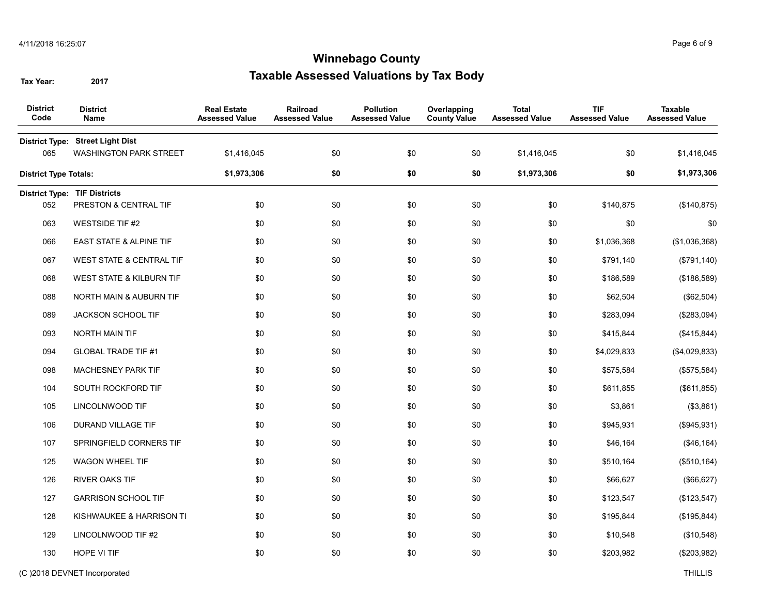| <b>District</b><br>Code      | <b>District</b><br>Name                                           | <b>Real Estate</b><br><b>Assessed Value</b> | Railroad<br><b>Assessed Value</b> | <b>Pollution</b><br><b>Assessed Value</b> | Overlapping<br><b>County Value</b> | <b>Total</b><br><b>Assessed Value</b> | <b>TIF</b><br><b>Assessed Value</b> | Taxable<br><b>Assessed Value</b> |
|------------------------------|-------------------------------------------------------------------|---------------------------------------------|-----------------------------------|-------------------------------------------|------------------------------------|---------------------------------------|-------------------------------------|----------------------------------|
| 065                          | District Type: Street Light Dist<br><b>WASHINGTON PARK STREET</b> | \$1,416,045                                 | \$0                               | \$0                                       | \$0                                | \$1,416,045                           | \$0                                 | \$1,416,045                      |
| <b>District Type Totals:</b> |                                                                   | \$1,973,306                                 | \$0                               | \$0                                       | \$0                                | \$1,973,306                           | \$0                                 | \$1,973,306                      |
|                              | <b>District Type: TIF Districts</b>                               |                                             |                                   |                                           |                                    |                                       |                                     |                                  |
| 052                          | PRESTON & CENTRAL TIF                                             | \$0                                         | \$0                               | \$0                                       | \$0                                | \$0                                   | \$140,875                           | (\$140, 875)                     |
| 063                          | WESTSIDE TIF #2                                                   | \$0                                         | \$0                               | \$0                                       | \$0                                | \$0                                   | \$0                                 | \$0                              |
| 066                          | EAST STATE & ALPINE TIF                                           | \$0                                         | \$0                               | \$0                                       | \$0                                | \$0                                   | \$1,036,368                         | (\$1,036,368)                    |
| 067                          | <b>WEST STATE &amp; CENTRAL TIF</b>                               | \$0                                         | \$0                               | \$0                                       | \$0                                | \$0                                   | \$791,140                           | (\$791, 140)                     |
| 068                          | <b>WEST STATE &amp; KILBURN TIF</b>                               | \$0                                         | \$0                               | \$0                                       | \$0                                | \$0                                   | \$186,589                           | (\$186,589)                      |
| 088                          | <b>NORTH MAIN &amp; AUBURN TIF</b>                                | \$0                                         | \$0                               | \$0                                       | \$0                                | \$0                                   | \$62,504                            | (\$62,504)                       |
| 089                          | <b>JACKSON SCHOOL TIF</b>                                         | \$0                                         | \$0                               | \$0                                       | \$0                                | \$0                                   | \$283,094                           | (\$283,094)                      |
| 093                          | NORTH MAIN TIF                                                    | \$0                                         | \$0                               | \$0                                       | \$0                                | \$0                                   | \$415,844                           | (\$415,844)                      |
| 094                          | <b>GLOBAL TRADE TIF #1</b>                                        | \$0                                         | \$0                               | \$0                                       | \$0                                | \$0                                   | \$4,029,833                         | (\$4,029,833)                    |
| 098                          | <b>MACHESNEY PARK TIF</b>                                         | \$0                                         | \$0                               | \$0                                       | \$0                                | \$0                                   | \$575,584                           | (\$575,584)                      |
| 104                          | SOUTH ROCKFORD TIF                                                | \$0                                         | \$0                               | \$0                                       | \$0                                | \$0                                   | \$611,855                           | (\$611, 855)                     |
| 105                          | LINCOLNWOOD TIF                                                   | \$0                                         | \$0                               | \$0                                       | \$0                                | \$0                                   | \$3,861                             | (\$3,861)                        |
| 106                          | DURAND VILLAGE TIF                                                | \$0                                         | \$0                               | \$0                                       | \$0                                | \$0                                   | \$945,931                           | (\$945,931)                      |
| 107                          | SPRINGFIELD CORNERS TIF                                           | \$0                                         | \$0                               | \$0                                       | \$0                                | \$0                                   | \$46,164                            | (\$46, 164)                      |
| 125                          | <b>WAGON WHEEL TIF</b>                                            | \$0                                         | \$0                               | \$0                                       | \$0                                | \$0                                   | \$510,164                           | (\$510, 164)                     |
| 126                          | RIVER OAKS TIF                                                    | \$0                                         | \$0                               | \$0                                       | \$0                                | \$0                                   | \$66,627                            | (\$66, 627)                      |
| 127                          | <b>GARRISON SCHOOL TIF</b>                                        | \$0                                         | \$0                               | \$0                                       | \$0                                | \$0                                   | \$123,547                           | (\$123,547)                      |
| 128                          | KISHWAUKEE & HARRISON TI                                          | \$0                                         | \$0                               | \$0                                       | \$0                                | \$0                                   | \$195,844                           | (\$195,844)                      |
| 129                          | LINCOLNWOOD TIF #2                                                | \$0                                         | \$0                               | \$0                                       | \$0                                | \$0                                   | \$10,548                            | (\$10,548)                       |
| 130                          | HOPE VI TIF                                                       | \$0                                         | \$0                               | \$0                                       | \$0                                | \$0                                   | \$203,982                           | (\$203,982)                      |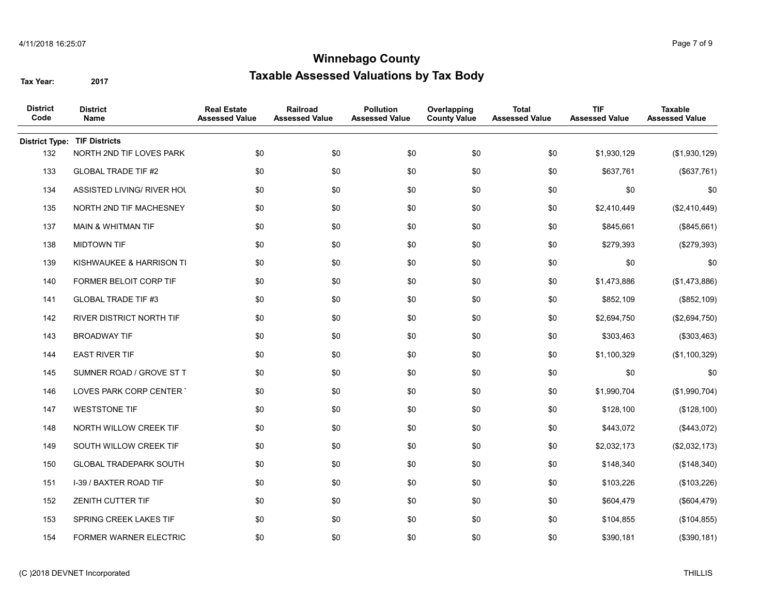| <b>District</b><br>Code | <b>District</b><br>Name         | <b>Real Estate</b><br><b>Assessed Value</b> | Railroad<br><b>Assessed Value</b> | <b>Pollution</b><br><b>Assessed Value</b> | Overlapping<br><b>County Value</b> | <b>Total</b><br><b>Assessed Value</b> | <b>TIF</b><br><b>Assessed Value</b> | <b>Taxable</b><br><b>Assessed Value</b> |
|-------------------------|---------------------------------|---------------------------------------------|-----------------------------------|-------------------------------------------|------------------------------------|---------------------------------------|-------------------------------------|-----------------------------------------|
| <b>District Type:</b>   | <b>TIF Districts</b>            |                                             |                                   |                                           |                                    |                                       |                                     |                                         |
| 132                     | NORTH 2ND TIF LOVES PARK        | \$0                                         | \$0                               | \$0                                       | \$0                                | \$0                                   | \$1,930,129                         | (\$1,930,129)                           |
| 133                     | <b>GLOBAL TRADE TIF #2</b>      | \$0                                         | \$0                               | \$0                                       | \$0                                | \$0                                   | \$637,761                           | (\$637,761)                             |
| 134                     | ASSISTED LIVING/ RIVER HOL      | \$0                                         | \$0                               | \$0                                       | \$0                                | \$0                                   | \$0                                 | \$0                                     |
| 135                     | NORTH 2ND TIF MACHESNEY         | \$0                                         | \$0                               | \$0                                       | \$0                                | \$0                                   | \$2,410,449                         | (\$2,410,449)                           |
| 137                     | <b>MAIN &amp; WHITMAN TIF</b>   | \$0                                         | \$0                               | \$0                                       | \$0                                | \$0                                   | \$845,661                           | (\$845,661)                             |
| 138                     | <b>MIDTOWN TIF</b>              | \$0                                         | \$0                               | \$0                                       | \$0                                | \$0                                   | \$279,393                           | (\$279,393)                             |
| 139                     | KISHWAUKEE & HARRISON TI        | \$0                                         | \$0                               | \$0                                       | \$0                                | \$0                                   | \$0                                 | \$0                                     |
| 140                     | FORMER BELOIT CORP TIF          | \$0                                         | \$0                               | \$0                                       | \$0                                | \$0                                   | \$1,473,886                         | (\$1,473,886)                           |
| 141                     | <b>GLOBAL TRADE TIF #3</b>      | \$0                                         | \$0                               | \$0                                       | \$0                                | \$0                                   | \$852,109                           | (\$852, 109)                            |
| 142                     | <b>RIVER DISTRICT NORTH TIF</b> | \$0                                         | \$0                               | \$0                                       | \$0                                | \$0                                   | \$2,694,750                         | (\$2,694,750)                           |
| 143                     | <b>BROADWAY TIF</b>             | \$0                                         | \$0                               | \$0                                       | \$0                                | \$0                                   | \$303,463                           | (\$303,463)                             |
| 144                     | <b>EAST RIVER TIF</b>           | \$0                                         | \$0                               | \$0                                       | \$0                                | \$0                                   | \$1,100,329                         | (\$1,100,329)                           |
| 145                     | SUMNER ROAD / GROVE ST T        | \$0                                         | \$0                               | \$0                                       | \$0                                | \$0                                   | \$0                                 | \$0                                     |
| 146                     | LOVES PARK CORP CENTER          | \$0                                         | \$0                               | \$0                                       | \$0                                | \$0                                   | \$1,990,704                         | (\$1,990,704)                           |
| 147                     | <b>WESTSTONE TIF</b>            | \$0                                         | \$0                               | \$0                                       | \$0                                | \$0                                   | \$128,100                           | (\$128,100)                             |
| 148                     | NORTH WILLOW CREEK TIF          | \$0                                         | \$0                               | \$0                                       | \$0                                | \$0                                   | \$443,072                           | (\$443,072)                             |
| 149                     | SOUTH WILLOW CREEK TIF          | \$0                                         | \$0                               | \$0                                       | \$0                                | \$0                                   | \$2,032,173                         | (\$2,032,173)                           |
| 150                     | <b>GLOBAL TRADEPARK SOUTH</b>   | \$0                                         | \$0                               | \$0                                       | \$0                                | \$0                                   | \$148,340                           | (\$148,340)                             |
| 151                     | I-39 / BAXTER ROAD TIF          | \$0                                         | \$0                               | \$0                                       | \$0                                | \$0                                   | \$103,226                           | (\$103,226)                             |
| 152                     | <b>ZENITH CUTTER TIF</b>        | \$0                                         | \$0                               | \$0                                       | \$0                                | \$0                                   | \$604,479                           | (\$604, 479)                            |
| 153                     | SPRING CREEK LAKES TIF          | \$0                                         | \$0                               | \$0                                       | \$0                                | \$0                                   | \$104,855                           | (\$104, 855)                            |
| 154                     | <b>FORMER WARNER ELECTRIC</b>   | \$0                                         | \$0                               | \$0                                       | \$0                                | \$0                                   | \$390,181                           | (\$390, 181)                            |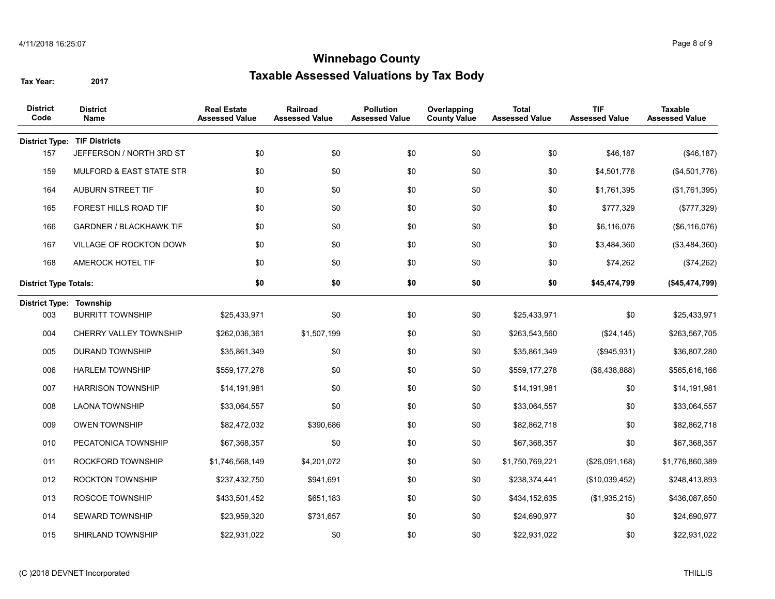| <b>District</b><br>Code        | <b>District</b><br>Name             | <b>Real Estate</b><br><b>Assessed Value</b> | Railroad<br><b>Assessed Value</b> | <b>Pollution</b><br><b>Assessed Value</b> | Overlapping<br><b>County Value</b> | Total<br><b>Assessed Value</b> | <b>TIF</b><br><b>Assessed Value</b> | <b>Taxable</b><br><b>Assessed Value</b> |
|--------------------------------|-------------------------------------|---------------------------------------------|-----------------------------------|-------------------------------------------|------------------------------------|--------------------------------|-------------------------------------|-----------------------------------------|
|                                | <b>District Type: TIF Districts</b> |                                             |                                   |                                           |                                    |                                |                                     |                                         |
| 157                            | JEFFERSON / NORTH 3RD ST            | \$0                                         | \$0                               | \$0                                       | \$0                                | \$0                            | \$46,187                            | (\$46, 187)                             |
| 159                            | <b>MULFORD &amp; EAST STATE STR</b> | \$0                                         | \$0                               | \$0                                       | \$0                                | \$0                            | \$4,501,776                         | (\$4,501,776)                           |
| 164                            | AUBURN STREET TIF                   | \$0                                         | \$0                               | \$0                                       | \$0                                | \$0                            | \$1,761,395                         | (\$1,761,395)                           |
| 165                            | FOREST HILLS ROAD TIF               | \$0                                         | \$0                               | \$0                                       | \$0                                | \$0                            | \$777,329                           | (\$777,329)                             |
| 166                            | <b>GARDNER / BLACKHAWK TIF</b>      | \$0                                         | \$0                               | \$0                                       | \$0                                | \$0                            | \$6,116,076                         | (\$6,116,076)                           |
| 167                            | VILLAGE OF ROCKTON DOWN             | \$0                                         | \$0                               | \$0                                       | \$0                                | \$0                            | \$3,484,360                         | (\$3,484,360)                           |
| 168                            | AMEROCK HOTEL TIF                   | \$0                                         | \$0                               | \$0                                       | \$0                                | \$0                            | \$74,262                            | (\$74,262)                              |
| <b>District Type Totals:</b>   |                                     | \$0                                         | \$0                               | \$0                                       | \$0                                | \$0                            | \$45,474,799                        | (\$45,474,799)                          |
| <b>District Type: Township</b> |                                     |                                             |                                   |                                           |                                    |                                |                                     |                                         |
| 003                            | <b>BURRITT TOWNSHIP</b>             | \$25,433,971                                | \$0                               | \$0                                       | \$0                                | \$25,433,971                   | \$0                                 | \$25,433,971                            |
| 004                            | CHERRY VALLEY TOWNSHIP              | \$262,036,361                               | \$1,507,199                       | \$0                                       | \$0                                | \$263,543,560                  | (\$24, 145)                         | \$263,567,705                           |
| 005                            | <b>DURAND TOWNSHIP</b>              | \$35,861,349                                | \$0                               | \$0                                       | \$0                                | \$35,861,349                   | (\$945,931)                         | \$36,807,280                            |
| 006                            | <b>HARLEM TOWNSHIP</b>              | \$559,177,278                               | \$0                               | \$0                                       | \$0                                | \$559,177,278                  | (\$6,438,888)                       | \$565,616,166                           |
| 007                            | <b>HARRISON TOWNSHIP</b>            | \$14,191,981                                | \$0                               | \$0                                       | \$0                                | \$14,191,981                   | \$0                                 | \$14,191,981                            |
| 008                            | <b>LAONA TOWNSHIP</b>               | \$33,064,557                                | \$0                               | \$0                                       | \$0                                | \$33,064,557                   | \$0                                 | \$33,064,557                            |
| 009                            | <b>OWEN TOWNSHIP</b>                | \$82,472,032                                | \$390,686                         | \$0                                       | \$0                                | \$82,862,718                   | \$0                                 | \$82,862,718                            |
| 010                            | PECATONICA TOWNSHIP                 | \$67,368,357                                | \$0                               | \$0                                       | \$0                                | \$67,368,357                   | \$0                                 | \$67,368,357                            |
| 011                            | ROCKFORD TOWNSHIP                   | \$1,746,568,149                             | \$4,201,072                       | \$0                                       | \$0                                | \$1,750,769,221                | (\$26,091,168)                      | \$1,776,860,389                         |
| 012                            | ROCKTON TOWNSHIP                    | \$237,432,750                               | \$941,691                         | \$0                                       | \$0                                | \$238,374,441                  | (\$10,039,452)                      | \$248,413,893                           |
| 013                            | ROSCOE TOWNSHIP                     | \$433,501,452                               | \$651,183                         | \$0                                       | \$0                                | \$434,152,635                  | (\$1,935,215)                       | \$436,087,850                           |
| 014                            | <b>SEWARD TOWNSHIP</b>              | \$23,959,320                                | \$731,657                         | \$0                                       | \$0                                | \$24,690,977                   | \$0                                 | \$24,690,977                            |
| 015                            | SHIRLAND TOWNSHIP                   | \$22,931,022                                | \$0                               | \$0                                       | \$0                                | \$22,931,022                   | \$0                                 | \$22,931,022                            |